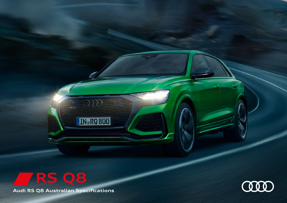## **RS Q8**

**Audi RS Q8 Australian Specifications** 

IN.RQ 800

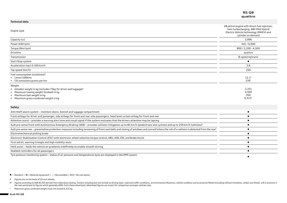|                                                                                                                                                                                                                     | <b>RS Q8</b><br>quattro                                                                                                                             |
|---------------------------------------------------------------------------------------------------------------------------------------------------------------------------------------------------------------------|-----------------------------------------------------------------------------------------------------------------------------------------------------|
| <b>Technical data</b>                                                                                                                                                                                               |                                                                                                                                                     |
| Engine type                                                                                                                                                                                                         | V8 petrol engine with direct fuel injection,<br>twin turbocharging, 48V Mild Hybrid<br>Electric Vehicle technology (MHEV) and<br>cylinder on demand |
| Capacity (cc)                                                                                                                                                                                                       | 3,996                                                                                                                                               |
| Power (kW/rpm)                                                                                                                                                                                                      | 441/6,000                                                                                                                                           |
| Torque (Nm/rpm)                                                                                                                                                                                                     | 800 / 2,200 - 4,500                                                                                                                                 |
| Driveline                                                                                                                                                                                                           | quattro                                                                                                                                             |
| Transmission                                                                                                                                                                                                        | 8-speed tiptronic                                                                                                                                   |
| Start-Stop system                                                                                                                                                                                                   | $\bullet$                                                                                                                                           |
| Acceleration (sec) 0-100 km/h                                                                                                                                                                                       | 3.8                                                                                                                                                 |
| Top speed (km/h)                                                                                                                                                                                                    | 250                                                                                                                                                 |
| Fuel consumption (combined) <sup>#</sup><br>• Litres/100kms<br>$\triangleright$ CO <sub>2</sub> emissions grams per km                                                                                              | $12.1^{\circ}$<br>$276^{\circ}$                                                                                                                     |
| Weight<br>$\triangleright$ Unladen weight in kg (includes 75kg for driver and luggage) <sup>1</sup><br>• Maximum towing weight (braked) in kg<br>Maximum ball weight in kg<br>▶ Maximum gross combined weight in kg | 2,315<br>3,500<br>350<br>$6,515^{\circ}$                                                                                                            |
| Safety                                                                                                                                                                                                              |                                                                                                                                                     |
| Anti-theft alarm system - monitors doors, bonnet and luggage compartment                                                                                                                                            | $\bullet$                                                                                                                                           |
| Front airbags for driver and passenger, side airbags for front and rear side passengers, head level curtain airbag for front and rear                                                                               | $\bullet$                                                                                                                                           |
| Attention assist - provides a warning alert tone and visual signal if the system evaluates that the drivers attention may be lapsing                                                                                | $\bullet$                                                                                                                                           |
| Audi pre-sense front with Autonomous Emergency Braking (AEB) - provides collision mitigation up to 85 km/h (pedestrians and cyclists) and up to 250 km/h (vehicles) <sup>2</sup>                                    | $\bullet$                                                                                                                                           |
| Audi pre-sense rear - preventative protection measures including tensioning of front seat belts and closing of windows and sunroof where the risk of a collision is detected from the rear <sup>2</sup>             | $\bullet$                                                                                                                                           |
| Electromechanical parking brake                                                                                                                                                                                     | $\bullet$                                                                                                                                           |
| Electronic Stabilisation Control (ESC) with electronic wheel-selective torque control, ABS, ASR, EDL and Brake Assist                                                                                               | $\bullet$                                                                                                                                           |
| First aid kit, warning triangle and high visibility vests                                                                                                                                                           | $\bullet$                                                                                                                                           |
| Hold assist - holds the vehicle on gradients indefinitely to enable smooth driving                                                                                                                                  | $\bullet$                                                                                                                                           |
| Seatbelt reminders for all passengers                                                                                                                                                                               |                                                                                                                                                     |
| Tyre pressure monitoring system - status of air pressure and temperatures tyres are displayed in the MMI system                                                                                                     | ٠                                                                                                                                                   |

- $\bullet$  = Standard |  $\Box$  = Optional equipment | = Not available | NCO = No cost option
- # Figures are on the basis of 23 inch wheels.
- #^ Figures according to ADR 81/02 derived from laboratory testing. Factors including but not limited to driving style, road and traffic conditions, environmental influences, vehicle condition and accessories fitted (includ

^ Maximum gross combined weight must not exceed 6,315 kg.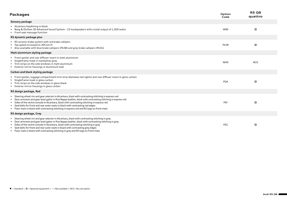| <b>Packages</b>                                                                                                                                                                                                                                                                                                                                                                                                                                                                             | Option<br>Code | RS Q8<br>quattro |
|---------------------------------------------------------------------------------------------------------------------------------------------------------------------------------------------------------------------------------------------------------------------------------------------------------------------------------------------------------------------------------------------------------------------------------------------------------------------------------------------|----------------|------------------|
| Sensory package                                                                                                                                                                                                                                                                                                                                                                                                                                                                             |                |                  |
| Alcantara headlining in black<br>Bang & Olufsen 3D Advanced Sound System - 23 loudspeakers with a total output of 1,920 watts<br>Front seat massage function                                                                                                                                                                                                                                                                                                                                | <b>WBX</b>     | п                |
| RS dynamic package plus                                                                                                                                                                                                                                                                                                                                                                                                                                                                     |                |                  |
| ▶ RS ceramic brake system with red brake callipers<br>▶ Top speed increased to 305 km/h<br>Also available with blue brake callipers (PA3B) and grey brake callipers (PA3G)                                                                                                                                                                                                                                                                                                                  | PA3R           | П                |
| Matt aluminium styling package                                                                                                                                                                                                                                                                                                                                                                                                                                                              |                |                  |
| Front spoiler and rear diffuser insert in matt aluminium<br>Singleframe mask in manhattan grey<br>Film strips on the side windows in matt aluminium<br>Exterior mirror housings in aluminium look                                                                                                                                                                                                                                                                                           | WA9            | <b>NCO</b>       |
| Carbon and black styling package                                                                                                                                                                                                                                                                                                                                                                                                                                                            |                |                  |
| Front spoiler, luggage compartment trim strip (between tail lights) and rear diffuser insert in gloss carbon<br>Singleframe mask in gloss carbon<br>Trim strips on the side windows in gloss black<br>Exterior mirror housings in gloss carbon                                                                                                                                                                                                                                              | PQA            | П                |
| RS design package, Red                                                                                                                                                                                                                                                                                                                                                                                                                                                                      |                |                  |
| Steering wheel rim and gear selector in Alcantara, black with contrasting stitching in express red<br>Door armrests and gear level gaitor in fine Nappa leather, black with contrasting stitching in express red<br>Sides of the centre console in Alcantara, black with contrasting stitching in express red<br>Seat belts for front and rear outer seats in black with contrasting red edges<br>> Floor mats in black with contrasting stitching in express red and RS logo on front mats | PEF            | $\Box$           |
| RS design package, Grey                                                                                                                                                                                                                                                                                                                                                                                                                                                                     |                |                  |
| Steering wheel rim and gear selector in Alcantara, black with contrasting stitching in grey<br>Door armrests and gear level gaitor in fine Nappa leather, black with contrasting stitching in grey<br>Sides of the centre console in Alcantara, black with contrasting stitching in grey<br>Seat belts for front and rear outer seats in black with contrasting grey edges<br>Eloor mats in black with contrasting stitching in grey and RS logo on front mats                              | PEG            | п                |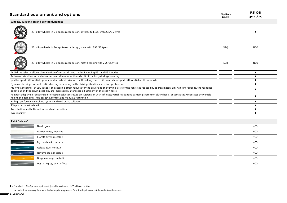| <b>Standard equipment and options</b>                                                                                                                                                                                                                                               | Option<br>Code | RS <sub>Q8</sub><br>quattro |
|-------------------------------------------------------------------------------------------------------------------------------------------------------------------------------------------------------------------------------------------------------------------------------------|----------------|-----------------------------|
| Wheels, suspension and driving dynamics                                                                                                                                                                                                                                             |                |                             |
| 23" alloy wheels in 5-Y spoke rotor design, anthracite black with 295/35 tyres                                                                                                                                                                                                      |                |                             |
| 23" alloy wheels in 5-Y spoke rotor design, silver with 295/35 tyres                                                                                                                                                                                                                | 52Q            | <b>NCO</b>                  |
| 23" alloy wheels in 5-Y spoke rotor design, matt titanium with 295/35 tyres                                                                                                                                                                                                         | 52R            | <b>NCO</b>                  |
| Audi drive select - allows the selection of various driving modes including RS1 and RS2 modes                                                                                                                                                                                       |                | $\bullet$                   |
| Active roll stabilisation - electromechanically reduces the side tilt of the body during cornering                                                                                                                                                                                  |                | $\bullet$                   |
| quattro sport differential - permanent all-wheel drive with self-locking centre differential and sport differential on the rear axle                                                                                                                                                |                | $\bullet$                   |
| Dynamic steering - variable ratio steering depending on the driving situation and driver preference                                                                                                                                                                                 |                | $\bullet$                   |
| All-wheel steering - at low speeds, the steering effort reduces for the driver and the turning circle of the vehicle is reduced by approximately 1m. At higher speeds, the response<br>behaviour and the driving stability are improved by a targeted adjustment of the rear wheels |                | $\bullet$                   |
| RS sport adaptive air suspension - electronically controlled air suspension with infinitely variable adaptive damping system on all 4 wheels; automatically regulates the vehicle<br>height and damping; includes level control and manual lift function                            |                | $\bullet$                   |
| RS high performance braking system with red brake callipers                                                                                                                                                                                                                         |                | $\bullet$                   |
| RS sport exhaust in black                                                                                                                                                                                                                                                           |                | $\bullet$                   |
| Anti-theft wheel bolts and loose wheel detection                                                                                                                                                                                                                                    |                | $\bullet$                   |
| Tyre repair kit                                                                                                                                                                                                                                                                     |                |                             |
| Paint finishes <sup>^</sup>                                                                                                                                                                                                                                                         |                |                             |
| Nardo grey                                                                                                                                                                                                                                                                          |                | <b>NCO</b>                  |
| Glacier white, metallic                                                                                                                                                                                                                                                             |                | <b>NCO</b>                  |
| Florett silver, metallic                                                                                                                                                                                                                                                            |                | <b>NCO</b>                  |
| Mythos black, metallic                                                                                                                                                                                                                                                              |                | <b>NCO</b>                  |
| Galaxy blue, metallic                                                                                                                                                                                                                                                               |                | <b>NCO</b>                  |
| Navarra blue, metallic                                                                                                                                                                                                                                                              |                | <b>NCO</b>                  |
| Dragon orange, metallic                                                                                                                                                                                                                                                             |                | <b>NCO</b>                  |
| Daytona grey, pearl effect                                                                                                                                                                                                                                                          |                | <b>NCO</b>                  |
|                                                                                                                                                                                                                                                                                     |                |                             |

 $\bullet$  = Standard |  $\Box$  = Optional equipment | - = Not available | NCO = No cost option

^ Actual colour may vary from sample due to printing process. Paint finish prices are not dependent on the model.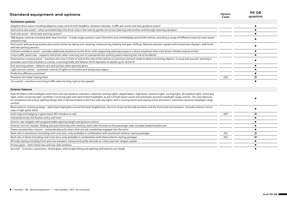| <b>Standard equipment and options</b>                                                                                                                                                                                                                                                                                                                                                                                                                                                                                                                            | Option<br>Code  | <b>RS Q8</b><br>quattro |
|------------------------------------------------------------------------------------------------------------------------------------------------------------------------------------------------------------------------------------------------------------------------------------------------------------------------------------------------------------------------------------------------------------------------------------------------------------------------------------------------------------------------------------------------------------------|-----------------|-------------------------|
| Assistance systems                                                                                                                                                                                                                                                                                                                                                                                                                                                                                                                                               |                 |                         |
| Adaptive drive assist including adaptive cruise control with Stop&Go, distance indicator, traffic jam assist and lane quidance assist <sup>2</sup>                                                                                                                                                                                                                                                                                                                                                                                                               |                 |                         |
| Audi active lane assist - when activated helps the driver stay in the lane by gentle corrective steering intervention and through steering vibration <sup>2</sup>                                                                                                                                                                                                                                                                                                                                                                                                |                 |                         |
| Audi side assist - blind spot warning system <sup>2</sup>                                                                                                                                                                                                                                                                                                                                                                                                                                                                                                        |                 |                         |
| 360 degree cameras including kerb view function - 4 wide-angle cameras cover the entire area immediately around the vehicle, providing a range of different views for even easier<br>manoeuvring <sup>2</sup>                                                                                                                                                                                                                                                                                                                                                    |                 |                         |
| Park assist with parking system plus assists driver by taking over steering, maneuvering, braking and gear shifting; features acoustic signals with virtual lane display <sup>2</sup> ; with front<br>and rear parking sensors                                                                                                                                                                                                                                                                                                                                   |                 |                         |
| Collision avoidance assist - provides additional assistance to the driver with supporting steering torque in critical situations where the driver initiates evasive action <sup>2</sup>                                                                                                                                                                                                                                                                                                                                                                          |                 |                         |
| Cross traffic assist rear - supports the driver when reversing out of a perpendicular parking space reducing the risk of accidents <sup>2</sup>                                                                                                                                                                                                                                                                                                                                                                                                                  |                 |                         |
| Intersection crossing assist - monitors the area in front of and at the side of the vehicle on junctions and exit roads to detect oncoming objects. A visual and acoustic warning is<br>provided, and if the situation is critical, a warning brake jolt follows which operates at speeds up to 10 km/h <sup>2</sup>                                                                                                                                                                                                                                             |                 |                         |
| Exit warning system - detects cars and cyclists when opening doors                                                                                                                                                                                                                                                                                                                                                                                                                                                                                               |                 | $\bullet$               |
| Light and rain sensor - automatic control of lights-on function and windscreen wipers                                                                                                                                                                                                                                                                                                                                                                                                                                                                            |                 |                         |
| Predictive efficiency assistant <sup>2</sup>                                                                                                                                                                                                                                                                                                                                                                                                                                                                                                                     |                 |                         |
| Provision for trailer towing hitch                                                                                                                                                                                                                                                                                                                                                                                                                                                                                                                               | 1D1             | o                       |
| Turn assist - monitors oncoming traffic when turning right at low speeds <sup>2</sup>                                                                                                                                                                                                                                                                                                                                                                                                                                                                            |                 |                         |
| <b>Exterior features</b>                                                                                                                                                                                                                                                                                                                                                                                                                                                                                                                                         |                 |                         |
| Audi HD Matrix LED headlights with front and rear dynamic indicators; daytime running lights, dipped beam, high beam, position light, turning light, all-weather light, motorway<br>light, static cornering light, synthetic cornering light with dark tinted headlights as part of high-beam assist and automatic-dynamic headlight range control. This also features<br>an innovative and unique lighting design that is demonstrated in the front and rear lights with a Coming home and Leaving home animation, automatic-dynamic headlight range<br>control |                 |                         |
| Black exterior styling package - adds black highlights around the Audi Singleframe, the trim strips on the side windows and the front and rear bumpers. Includes exterior mirror<br>caps in high-gloss black                                                                                                                                                                                                                                                                                                                                                     |                 | $\bullet$               |
| Audi rings and badging in gloss black (RS rhombus in red)                                                                                                                                                                                                                                                                                                                                                                                                                                                                                                        | 4ZP             | П.                      |
| Convenience key, full keyless entry and start                                                                                                                                                                                                                                                                                                                                                                                                                                                                                                                    |                 | $\bullet$               |
| Electric rear tailgate with programmable opening height and gesture control                                                                                                                                                                                                                                                                                                                                                                                                                                                                                      |                 | $\bullet$               |
| Exterior mirrors; heated, folding and auto dimming with memory; kerb-side function on the passenger side; includes heated washer jets                                                                                                                                                                                                                                                                                                                                                                                                                            |                 | $\bullet$               |
| Power assisted door closure - automatically pulls doors that are not completely engaged into the locks                                                                                                                                                                                                                                                                                                                                                                                                                                                           |                 |                         |
| Roof rails in aluminium (including roof cross bars; only available in combination with aluminium exterior styling package)                                                                                                                                                                                                                                                                                                                                                                                                                                       | <b>3S1</b>      | О.                      |
| Roof rails in black (including roof cross bars; only available in combination with black exterior styling package)                                                                                                                                                                                                                                                                                                                                                                                                                                               | 3S <sub>2</sub> |                         |
| RS body styling including front and rear bumpers, honeycomb grille and side air inlets and rear tailgate spoiler                                                                                                                                                                                                                                                                                                                                                                                                                                                 |                 |                         |
| Privacy glass - dark tinted rear and rear side windows                                                                                                                                                                                                                                                                                                                                                                                                                                                                                                           |                 |                         |
| Sunroof - 2-section, panoramic, tinted glass, electrically tilting and opening with electric sun shade                                                                                                                                                                                                                                                                                                                                                                                                                                                           |                 |                         |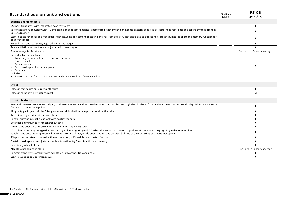| <b>Standard equipment and options</b>                                                                                                                                                                                                                                                                                   | Option<br>Code | RS <sub>Q8</sub><br>quattro |
|-------------------------------------------------------------------------------------------------------------------------------------------------------------------------------------------------------------------------------------------------------------------------------------------------------------------------|----------------|-----------------------------|
| Seating and upholstery                                                                                                                                                                                                                                                                                                  |                |                             |
| RS sport front seats with integrated head restraints                                                                                                                                                                                                                                                                    |                | $\bullet$                   |
| Valcona leather upholstery with RS embossing on seat centre panels in perforated leather with honeycomb pattern, seat side bolsters, head restraints and centre armrest, front in<br>Valcona leather                                                                                                                    |                |                             |
| Electric seats for driver and front passenger including adjustment of seat height, fore/aft position, seat angle and backrest angle; electric lumbar support and memory function for<br>both front seats                                                                                                                |                |                             |
| Heated front and rear seats; adjustable in three stages                                                                                                                                                                                                                                                                 |                |                             |
| Seat ventilation for front seats; adjustable in three stages                                                                                                                                                                                                                                                            |                |                             |
| Seat massage for front seats                                                                                                                                                                                                                                                                                            |                | Included in Sensory package |
| Extended leather package<br>The following items upholstered in fine Nappa leather:<br>Centre console<br>Door armrests<br>Dashboard; upper instrument panel<br>Door rails<br>Includes:<br>Electric sunblind for rear side windows and manual sunblind for rear window                                                    |                |                             |
| Inlays                                                                                                                                                                                                                                                                                                                  |                |                             |
| Inlays in matt aluminium race, anthracite                                                                                                                                                                                                                                                                               |                |                             |
| Inlays in carbon twill structure, matt                                                                                                                                                                                                                                                                                  | 5MH            |                             |
| <b>Interior features</b>                                                                                                                                                                                                                                                                                                |                |                             |
| 4-zone climate control - separately adjustable temperature and air distribution settings for left and right-hand sides at front and rear; rear touchscreen display. Additional air vents<br>for rear passengers in B pillars                                                                                            |                |                             |
| Air quality package - includes 2 fragrances and air ionisation to improve the air in the cabin                                                                                                                                                                                                                          |                |                             |
| Auto dimming interior mirror, frameless                                                                                                                                                                                                                                                                                 |                |                             |
| Control buttons in black gloss look with haptic feedback                                                                                                                                                                                                                                                                |                | $\bullet$                   |
| Extended aluminium look for control buttons                                                                                                                                                                                                                                                                             |                | $\bullet$                   |
| Illuminated door sill trims, front with aluminium inlay and RS logo                                                                                                                                                                                                                                                     |                | $\bullet$                   |
| LED colour interior lighting package including ambient lighting with 30 selectable colours and 6 colour profiles - includes courtesy lighting in the exterior door<br>handles, entrance lighting, footwell lighting at front and rear, inside door handles, and ambient lighting of the door trims and instrument panel |                |                             |
| RS sport leather steering wheel with multifunction, shift paddles and heated function                                                                                                                                                                                                                                   |                |                             |
| Electric steering column adjustment with automatic entry & exit function and memory                                                                                                                                                                                                                                     |                |                             |
| Headlining in black cloth                                                                                                                                                                                                                                                                                               |                |                             |
| Alcantara headlining in black                                                                                                                                                                                                                                                                                           |                | Included in Sensory package |
| Comfort front centre armrest with adjustable fore/aft position and angle                                                                                                                                                                                                                                                |                |                             |
| Electric luggage compartment cover                                                                                                                                                                                                                                                                                      |                |                             |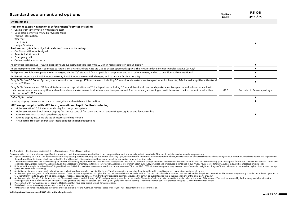| Standard equipment and options                                                                                                                                                                                                                                                                                                                                                                                                                                                               | Option<br>Code | RS Q8<br>quattro            |
|----------------------------------------------------------------------------------------------------------------------------------------------------------------------------------------------------------------------------------------------------------------------------------------------------------------------------------------------------------------------------------------------------------------------------------------------------------------------------------------------|----------------|-----------------------------|
| Infotainment                                                                                                                                                                                                                                                                                                                                                                                                                                                                                 |                |                             |
| Audi connect <i>plus</i> Navigation & Infotainment <sup>+3</sup> services including:<br>Online traffic information with hazard alert<br>▶ Destination entry via myAudi or Google Maps<br>▶ Parking information<br>$\triangleright$ Weather<br>$\blacktriangleright$ Fuel prices<br>• Google Services<br>Audi connect plus Security & Assistance <sup>44</sup> services including:<br>Car finder with remote signal<br>▶ Remote lock & unlock<br>Emergency call<br>Online roadside assistance |                |                             |
| Audi virtual cockpit plus – fully digital configurable instrument cluster with 12.3 inch high resolution colour display                                                                                                                                                                                                                                                                                                                                                                      |                | $\bullet$                   |
| Audi smartphone interface – connects to Apple CarPlay and Android Auto via USB to access approved apps via the MMI interface; includes wireless Apple CarPlay <sup>5</sup>                                                                                                                                                                                                                                                                                                                   |                |                             |
| Audi phone box light - supports wireless charging via the "Qi" standard for compatible smartphones and smartphone covers, and up to two Bluetooth connections <sup>5</sup>                                                                                                                                                                                                                                                                                                                   |                | $\bullet$                   |
| Audi music interface - 2 x USB inputs in front, 2 x USB inputs in rear with charging and data transfer functionality                                                                                                                                                                                                                                                                                                                                                                         |                | $\bullet$                   |
| Bang & Olufsen 3D Sound System, sound reproduction through 17 loudspeakers, including 3D sound loudspeakers, centre speaker and subwoofer, 16-channel amplifier with a total<br>output of 730 watts                                                                                                                                                                                                                                                                                          |                |                             |
| Bang & Olufsen Advanced 3D Sound System - sound reproduction via 23 loudspeakers including 3D sound, front and rear; loudspeakers, centre speaker and subwoofer each with<br>their own separate power amplifier and exclusive loudspeaker covers in aluminium; centre speaker and 2 automatically extending acoustic lenses on the instrument panel with a<br>total output of 1,920 watts                                                                                                    | 8RF            | Included in Sensory package |
| DAB+ Digital radio <sup>6</sup>                                                                                                                                                                                                                                                                                                                                                                                                                                                              |                |                             |
| Head-up display - in colour with speed, navigation and assistance information                                                                                                                                                                                                                                                                                                                                                                                                                |                |                             |
| MMI navigation plus <sup>7</sup> with MMI touch, acoustic and haptic feedback including:                                                                                                                                                                                                                                                                                                                                                                                                     |                |                             |

- High-resolution 10.1 inch colour display for navigation system
- High-resolution 8.6 inch colour display for climate control functions and with handwriting recognition and favourites list
- Voice control with natural speech recognition
- 3D map display including places of interest and city models
- MMI search: free-text search with intelligent destination suggestions

 $\bullet$  = Standard |  $\Box$  = Optional equipment | - = Not available | NCO = No cost option

Please note that this is a preliminary specification sheet and the information contained within it can change without notice prior to launch of the vehicle. This should only be used as an ordering quide only.

- #4 Figures according to ADR 81/02 derived from laboratory testing. Factors including but not limited to driving style, road and traffic conditions, environmental influences, vehicle condition and accessories fitted (includ the real world lead to figures which generally differ from those advertised. Advertised figures are meant for comparison amongst vehicles only.
- \* The content and scope of the Audi connect plus services offered may vary from time to time. Features vary by model and Audi AG may add, change, replace or remove individual services or features at any time during your su conditions apply, please visit www.audi.com.au/audiconnectplus-termsofservice for more information. Additional information about our privacy practices and procedures is contained in our Privacy Policy located at: www.audi.
- 1 Unladen vehicle weight includes driver (75kg) and fuel tank 90% full, calculated in accordance with the current version of Directive 92/21/EEC. Optional equipment may increase the car's unladen weight and drag coefficien speed will be reduced accordingly
- **2** Audi driver assistance systems work only within system limits and are intended to assist the driver. The driver remains responsible for driving the vehicle and is required to remain attentive at all times.
- 3 Audi connect plus Navigation & Infotainment services. These services are provided through a SIM card permanently installed in the vehicle. The costs of calls and data connections are included in the price of the services to 3 years from vehicle delivery. If Audi connect plus services are based on services from third-party providers, permanent availability cannot be quaranteed as this is the responsibility of the third-party provider.
- Audi connect plus Security & Assistance services. These services are provided through a SIM card permanently installed in the vehicle. The costs of calls and data connections are included in the price of the services. The coverage of the mobile phone network. The services are generally provided for at least 1 year and up to 3 years from vehicle delivery. The emergency call service is provided for up to 10 years from vehicle delivery.
- **5** Please check with your Audi dealer for approved telephones that have been tested by Audi for compatibility.<br>**6** Digital radio reception coverage dependent on vehicle location.
- **6** Digital radio reception coverage dependent on vehicle location.<br>**7** MMI navigation functional features may differ or not be availab
- **7** MMI navigation functional features may differ or not be available for the Australian market. Please refer to your Audi dealer for up-to-date information.

## **Vehicle pictured is an overseas RS Q8 with optional equipment.**

 $\bullet$